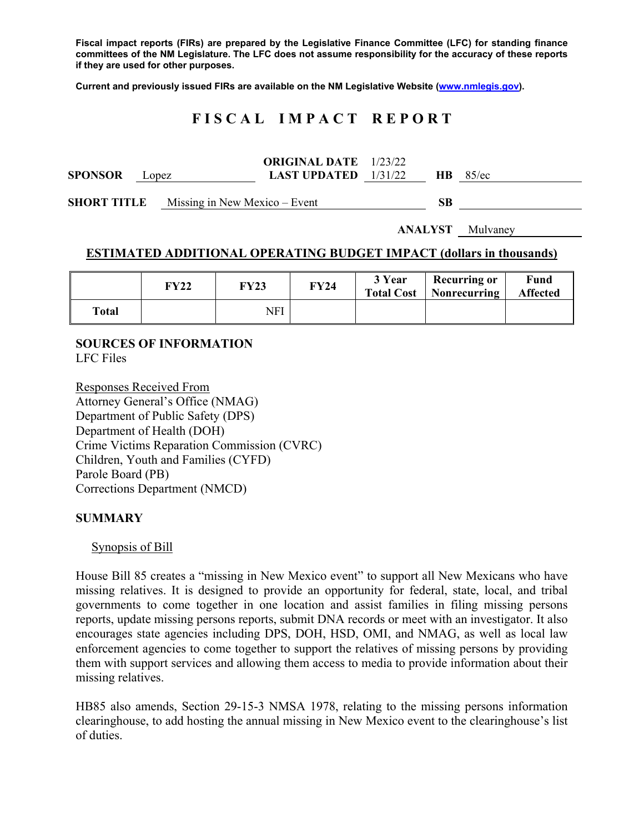**Fiscal impact reports (FIRs) are prepared by the Legislative Finance Committee (LFC) for standing finance committees of the NM Legislature. The LFC does not assume responsibility for the accuracy of these reports if they are used for other purposes.** 

**Current and previously issued FIRs are available on the NM Legislative Website (www.nmlegis.gov).** 

## **F I S C A L I M P A C T R E P O R T**

|                |       | <b>ORIGINAL DATE</b> 1/23/22  |           |          |
|----------------|-------|-------------------------------|-----------|----------|
| <b>SPONSOR</b> | Lopez | <b>LAST UPDATED</b> $1/31/22$ | <b>HB</b> | $85$ /ec |

**SHORT TITLE** Missing in New Mexico – Event **SB** 

**ANALYST** Mulvaney

### **ESTIMATED ADDITIONAL OPERATING BUDGET IMPACT (dollars in thousands)**

|       | FY22 | <b>FY23</b> | FY24 | 3 Year<br><b>Total Cost</b> | <b>Recurring or</b><br>Nonrecurring | Fund<br><b>Affected</b> |
|-------|------|-------------|------|-----------------------------|-------------------------------------|-------------------------|
| Total |      | NFI         |      |                             |                                     |                         |

### **SOURCES OF INFORMATION**  LFC Files

Responses Received From Attorney General's Office (NMAG) Department of Public Safety (DPS) Department of Health (DOH) Crime Victims Reparation Commission (CVRC) Children, Youth and Families (CYFD) Parole Board (PB) Corrections Department (NMCD)

### **SUMMARY**

### Synopsis of Bill

House Bill 85 creates a "missing in New Mexico event" to support all New Mexicans who have missing relatives. It is designed to provide an opportunity for federal, state, local, and tribal governments to come together in one location and assist families in filing missing persons reports, update missing persons reports, submit DNA records or meet with an investigator. It also encourages state agencies including DPS, DOH, HSD, OMI, and NMAG, as well as local law enforcement agencies to come together to support the relatives of missing persons by providing them with support services and allowing them access to media to provide information about their missing relatives.

HB85 also amends, Section 29-15-3 NMSA 1978, relating to the missing persons information clearinghouse, to add hosting the annual missing in New Mexico event to the clearinghouse's list of duties.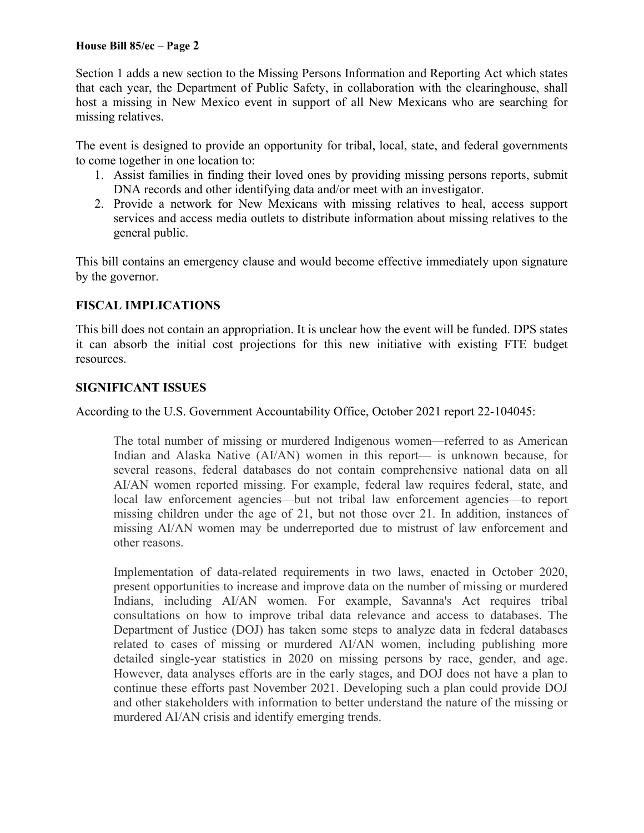Section 1 adds a new section to the Missing Persons Information and Reporting Act which states that each year, the Department of Public Safety, in collaboration with the clearinghouse, shall host a missing in New Mexico event in support of all New Mexicans who are searching for missing relatives.

The event is designed to provide an opportunity for tribal, local, state, and federal governments to come together in one location to:

- 1. Assist families in finding their loved ones by providing missing persons reports, submit DNA records and other identifying data and/or meet with an investigator.
- 2. Provide a network for New Mexicans with missing relatives to heal, access support services and access media outlets to distribute information about missing relatives to the general public.

This bill contains an emergency clause and would become effective immediately upon signature by the governor.

# **FISCAL IMPLICATIONS**

This bill does not contain an appropriation. It is unclear how the event will be funded. DPS states it can absorb the initial cost projections for this new initiative with existing FTE budget resources.

## **SIGNIFICANT ISSUES**

According to the U.S. Government Accountability Office, October 2021 report 22-104045:

The total number of missing or murdered Indigenous women—referred to as American Indian and Alaska Native (AI/AN) women in this report— is unknown because, for several reasons, federal databases do not contain comprehensive national data on all AI/AN women reported missing. For example, federal law requires federal, state, and local law enforcement agencies—but not tribal law enforcement agencies—to report missing children under the age of 21, but not those over 21. In addition, instances of missing AI/AN women may be underreported due to mistrust of law enforcement and other reasons.

Implementation of data-related requirements in two laws, enacted in October 2020, present opportunities to increase and improve data on the number of missing or murdered Indians, including AI/AN women. For example, Savanna's Act requires tribal consultations on how to improve tribal data relevance and access to databases. The Department of Justice (DOJ) has taken some steps to analyze data in federal databases related to cases of missing or murdered AI/AN women, including publishing more detailed single-year statistics in 2020 on missing persons by race, gender, and age. However, data analyses efforts are in the early stages, and DOJ does not have a plan to continue these efforts past November 2021. Developing such a plan could provide DOJ and other stakeholders with information to better understand the nature of the missing or murdered AI/AN crisis and identify emerging trends.